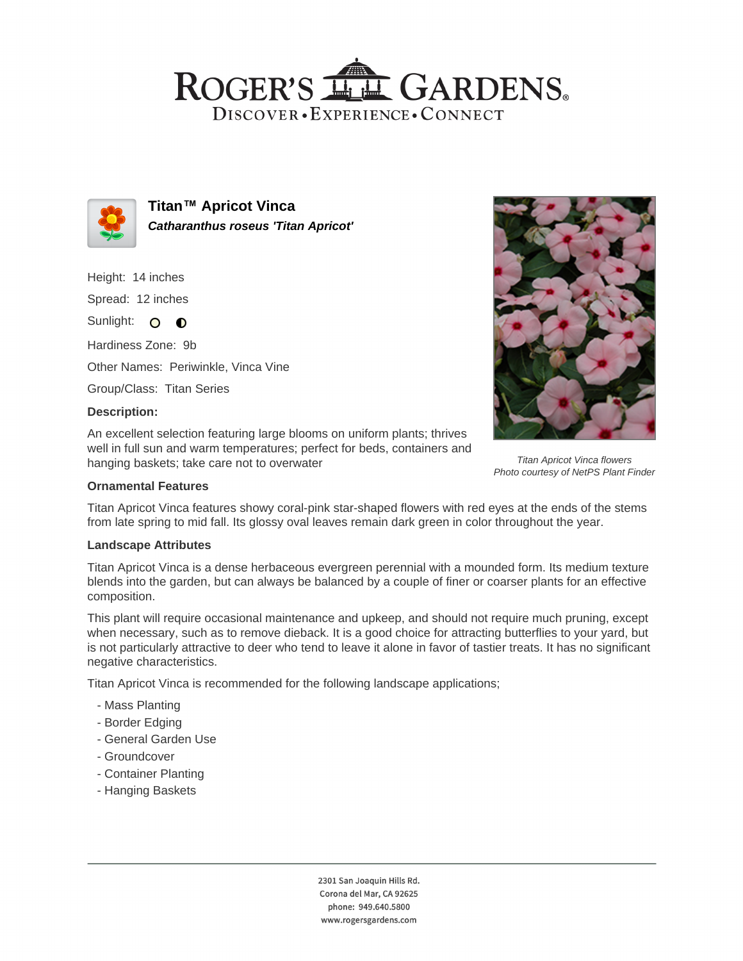## ROGER'S LLE GARDENS. DISCOVER · EXPERIENCE · CONNECT



**Titan™ Apricot Vinca Catharanthus roseus 'Titan Apricot'**

Height: 14 inches Spread: 12 inches Sunlight: O **O** Hardiness Zone: 9b Other Names: Periwinkle, Vinca Vine Group/Class: Titan Series

## **Description:**

An excellent selection featuring large blooms on uniform plants; thrives well in full sun and warm temperatures; perfect for beds, containers and hanging baskets; take care not to overwater

### **Ornamental Features**

Titan Apricot Vinca features showy coral-pink star-shaped flowers with red eyes at the ends of the stems from late spring to mid fall. Its glossy oval leaves remain dark green in color throughout the year.

#### **Landscape Attributes**

Titan Apricot Vinca is a dense herbaceous evergreen perennial with a mounded form. Its medium texture blends into the garden, but can always be balanced by a couple of finer or coarser plants for an effective composition.

This plant will require occasional maintenance and upkeep, and should not require much pruning, except when necessary, such as to remove dieback. It is a good choice for attracting butterflies to your yard, but is not particularly attractive to deer who tend to leave it alone in favor of tastier treats. It has no significant negative characteristics.

Titan Apricot Vinca is recommended for the following landscape applications;

- Mass Planting
- Border Edging
- General Garden Use
- Groundcover
- Container Planting
- Hanging Baskets





Titan Apricot Vinca flowers Photo courtesy of NetPS Plant Finder